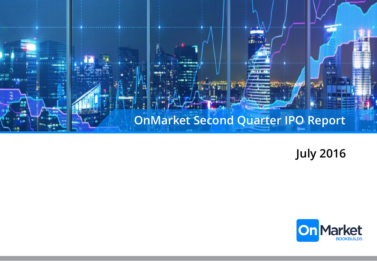

**July 2016**

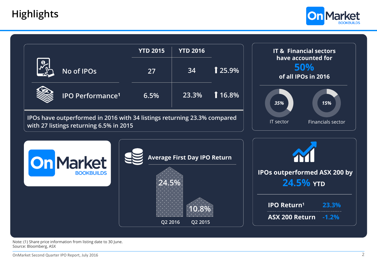

|                                                                                                                     | <b>YTD 2015</b>                       | <b>YTD 2016</b> |           | <b>IT &amp; Financial sectors</b>                |
|---------------------------------------------------------------------------------------------------------------------|---------------------------------------|-----------------|-----------|--------------------------------------------------|
| No of IPOs                                                                                                          | 27                                    | 34              | $125.9\%$ | have accounted for<br>50%<br>of all IPOs in 2016 |
| <b>IPO Performance<sup>1</sup></b>                                                                                  | 6.5%                                  | 23.3%           | 1 16.8%   | 15%<br>35%                                       |
| IPOs have outperformed in 2016 with 34 listings returning 23.3% compared<br>with 27 listings returning 6.5% in 2015 | Financials sector<br><b>IT</b> sector |                 |           |                                                  |
| <b>On Market</b>                                                                                                    | <b>Average First Day IPO Return</b>   |                 |           |                                                  |
| <b>BOOKBUILDS</b>                                                                                                   | 24.5%<br>Q2 2015<br>Q2 2016           |                 |           | <b>IPOs outperformed ASX 200 by</b><br>24.5% YTD |
|                                                                                                                     |                                       |                 |           | <b>IPO Return1</b><br>23.3%                      |
|                                                                                                                     |                                       |                 |           | <b>ASX 200 Return</b><br>$-1.2%$                 |

Note: (1) Share price information from listing date to 30 June. Source: Bloomberg, ASX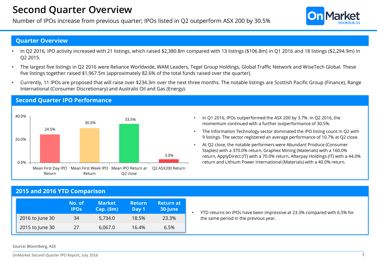### **Second Quarter Overview**

Number of IPOs increase from previous quarter; IPOs listed in Q2 outperform ASX 200 by 30.5%

#### **Quarter Overview**

- In Q2 2016, IPO activity increased with 21 listings, which raised \$2,380.8m compared with 13 listings (\$106.8m) in Q1 2016 and 18 listings (\$2,294.9m) in Q2 2015.
- The largest five listings in Q2 2016 were Reliance Worldwide, WAM Leaders, Tegel Group Holdings, Global Traffic Network and WiseTech Global. These five listings together raised \$1,967.5m (approximately 82.6% of the total funds raised over the quarter).
- Currently, 11 IPOs are proposed that will raise over \$234.3m over the next three months. The notable listings are Scottish Pacific Group (Finance), Range International (Consumer Discretionary) and Australis Oil and Gas (Energy).

#### 24.5% 30.0% 33.5% 3.0% 0.0% 20.0% 40.0% Mean First Day IPO Mean First Week IPO Mean IPO Return at Q2 ASX200 Return Return Return Q2 close

- In Q1 2016, IPOs outperformed the ASX 200 by 3.7%. In Q2 2016, the momentum continued with a further outperformance of 30.5%.
- **The Information Technology sector dominated the IPO listing count in Q2 with** 9 listings. The sector registered an average performance of 10.7% at Q2 close.
- At Q2 close, the notable performers were Abundant Produce (Consumer Staples) with a 370.0% return, Graphex Mining (Materials) with a 160.0% return, ApplyDirect (IT) with a 70.0% return, Afterpay Holdings (IT) with a 44.0% return and Lithium Power International (Materials) with a 40.0% return.

### **2015 and 2016 YTD Comparison**

**Second Quarter IPO Performance**

|                 | No. of<br><b>IPOS</b> | <b>Market</b><br>$Cap.$ (\$m) | <b>Return</b><br>Day 1 | <b>Return at</b><br>30-June |
|-----------------|-----------------------|-------------------------------|------------------------|-----------------------------|
| 2016 to June 30 | 34                    | 5.734.0                       | 18.5%                  | 23.3%                       |
| 2015 to June 30 | 27                    | 6,067.0                       | 16.4%                  | 6.5%                        |

 YTD returns on IPOs have been impressive at 23.3% compared with 6.5% for the same period in the previous year.

Source: Bloomberg, ASX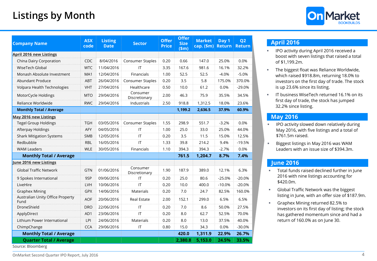# **Listings by Month**



| <b>Company Name</b>                                 | <b>ASX</b><br>code | <b>Listing</b><br><b>Date</b> | <b>Sector</b>             | <b>Offer</b><br><b>Price</b> | <b>Offer</b><br><b>Size</b><br>\$m\$ | <b>Market</b><br>cap. $(\$m)$ | Day 1<br><b>Return</b> | Q <sub>2</sub><br><b>Return</b> |
|-----------------------------------------------------|--------------------|-------------------------------|---------------------------|------------------------------|--------------------------------------|-------------------------------|------------------------|---------------------------------|
| <b>April 2016 new Listings</b>                      |                    |                               |                           |                              |                                      |                               |                        |                                 |
| China Dairy Corporation                             | CDC                | 8/04/2016                     | Consumer Staples          | 0.20                         | 0.66                                 | 147.0                         | 25.0%                  | 0.0%                            |
| WiseTech Global                                     | <b>WTC</b>         | 11/04/2016                    | ΙT                        | 3.35                         | 167.6                                | 981.6                         | 16.1%                  | 32.2%                           |
| Monash Absolute Investment                          | MA1                | 12/04/2016                    | Financials                | 1.00                         | 52.5                                 | 52.5                          | $-4.0%$                | $-5.0%$                         |
| Abundant Produce                                    | ABT                | 26/04/2016                    | <b>Consumer Staples</b>   | 0.20                         | 3.5                                  | 5.8                           | 175.0%                 | 370.0%                          |
| Volpara Health Technologies                         | <b>VHT</b>         | 27/04/2016                    | Healthcare                | 0.50                         | 10.0                                 | 61.2                          | 0.0%                   | $-29.0%$                        |
| MotorCycle Holdings                                 | <b>MTO</b>         | 29/04/2016                    | Consumer<br>Discretionary | 2.00                         | 46.3                                 | 75.9                          | 35.5%                  | 34.5%                           |
| Reliance Worldwide                                  | <b>RWC</b>         | 29/04/2016                    | Industrials               | 2.50                         | 918.8                                | 1,312.5                       | 18.0%                  | 23.6%                           |
| <b>Monthly Total / Average</b>                      |                    |                               |                           |                              | 1,199.2                              | 2,636.5                       | 37.9%                  | 60.9%                           |
| <b>May 2016 new Listings</b>                        |                    |                               |                           |                              |                                      |                               |                        |                                 |
| <b>Tegel Group Holdings</b>                         | <b>TGH</b>         | 03/05/2016                    | Consumer Staples          | 1.55                         | 298.9                                | 551.7                         | $-3.2%$                | 0.0%                            |
| Afterpay Holdings                                   | AFY                | 04/05/2016                    | IT                        | 1.00                         | 25.0                                 | 33.0                          | 25.0%                  | 44.0%                           |
| <b>Shark Mitigation Systems</b>                     | <b>SMB</b>         | 12/05/2016                    | IT                        | 0.20                         | 3.5                                  | 11.5                          | 15.0%                  | 12.5%                           |
| Redbubble                                           | <b>RBL</b>         | 16/05/2016                    | $\mathsf{I}\mathsf{T}$    | 1.33                         | 39.8                                 | 214.2                         | 9.4%                   | $-19.5%$                        |
| <b>WAM Leaders</b>                                  | <b>WLE</b>         | 30/05/2016                    | Financials                | 1.10                         | 394.3                                | 394.3                         | $-2.7%$                | 0.0%                            |
| <b>Monthly Total / Average</b>                      |                    |                               |                           |                              | 761.5                                | 1,204.7                       | 8.7%                   | 7.4%                            |
| June 2016 new Listings                              |                    |                               |                           |                              |                                      |                               |                        |                                 |
| <b>Global Traffic Network</b>                       | <b>GTN</b>         | 01/06/2016                    | Consumer<br>Discretionary | 1.90                         | 187.9                                | 389.0                         | 12.1%                  | 6.3%                            |
| 9 Spokes International                              | 9SP                | 09/06/2016                    | IT                        | 0.20                         | 25.0                                 | 80.6                          | $-25.0%$               | $-20.0%$                        |
| LiveHire                                            | LVH                | 10/06/2016                    | IT                        | 0.20                         | 10.0                                 | 400.0                         | $-10.0%$               | $-20.0%$                        |
| <b>Graphex Mining</b>                               | GPX                | 14/06/2016                    | Materials                 | 0.20                         | 7.0                                  | 24.7                          | 82.5%                  | 160.0%                          |
| Australian Unity Office Property<br>Fund            | <b>AOF</b>         | 20/06/2016                    | <b>Real Estate</b>        | 2.00                         | 152.1                                | 299.0                         | 6.5%                   | 6.5%                            |
| DroneShield                                         | <b>DRO</b>         | 22/06/2016                    | $\sf IT$                  | 0.20                         | 7.0                                  | 8.6                           | 50.0%                  | 27.5%                           |
| ApplyDirect                                         | AD1                | 23/06/2016                    | IT                        | 0.20                         | 8.0                                  | 62.7                          | 52.5%                  | 70.0%                           |
| Lithium Power International                         | LPI                | 24/06/2016                    | <b>Materials</b>          | 0.20                         | 8.0                                  | 13.0                          | 37.5%                  | 40.0%                           |
| ChimpChange                                         | <b>CCA</b>         | 29/06/2016                    | IT                        | 0.80                         | 15.0                                 | 34.3                          | 0.0%                   | $-30.0%$                        |
| <b>Monthly Total / Average</b>                      |                    |                               |                           |                              | 420.0                                | 1,311.9                       | 22.9%                  | 26.7%                           |
| <b>Quarter Total / Average</b><br>Source: Bloomberg |                    |                               |                           |                              | 2,380.8                              | 5,153.0                       | 24.5%                  | 33.5%                           |

#### **April 2016**

- **IFO activity during April 2016 received a** boost with seven listings that raised a total of \$1,199.2m.
- **The biggest float was Reliance Worldwide,** which raised \$918.8m, returning 18.0% to investors on the first day of trade. The stock is up 23.6% since its listing.
- IT business WiseTech returned 16.1% on its first day of trade, the stock has jumped 32.2% since listing.

#### **May 2016**

- **IFO activity slowed down relatively during** May 2016, with five listings and a total of \$761.5m raised.
- **Biggest listings in May 2016 was WAM** Leaders with an issue size of \$394.3m.

### **June 2016**

- Total funds raised declined further in June 2016 with nine listings accounting for \$420.0m.
- **Global Traffic Network was the biggest** listing in June, with an offer size of \$187.9m.
- **Graphex Mining returned 82.5% to** investors on its first day of listing; the stock has gathered momentum since and had a return of 160.0% as on June 30.

OnMarket Second Quarter IPO Report, July 2016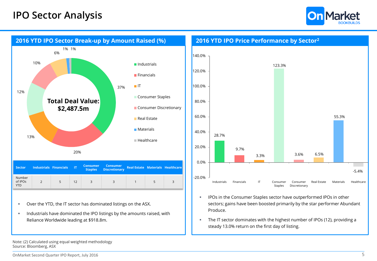



Over the YTD, the IT sector has dominated listings on the ASX.

 Industrials have dominated the IPO listings by the amounts raised, with Reliance Worldwide leading at \$918.8m.



- **IPOs in the Consumer Staples sector have outperformed IPOs in other** sectors; gains have been boosted primarily by the star performer Abundant Produce.
- The IT sector dominates with the highest number of IPOs (12), providing a steady 13.0% return on the first day of listing.

Note: (2) Calculated using equal weighted methodology Source: Bloomberg, ASX

**YTD**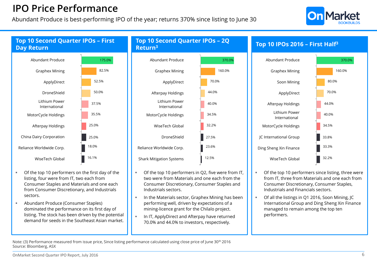### **IPO Price Performance**

Abundant Produce is best-performing IPO of the year; returns 370% since listing to June 30





- Of the top 10 performers on the first day of the listing, four were from IT, two each from Consumer Staples and Materials and one each from Consumer Discretionary, and Industrials sectors.
- Abundant Produce (Consumer Staples) dominated the performance on its first day of listing. The stock has been driven by the potential demand for seeds in the Southeast Asian market.

# **Top 10 Second Quarter IPOs – 2Q**



- Of the top 10 performers in Q2, five were from IT, two were from Materials and one each from the Consumer Discretionary, Consumer Staples and Industrials sectors.
- In the Materials sector, Graphex Mining has been performing well, driven by expectations of a mining-licence grant for the Chilalo project.
- In IT, ApplyDirect and Afterpay have returned 70.0% and 44.0% to investors, respectively.



- Of the top 10 performers since listing, three were from IT, three from Materials and one each from Consumer Discretionary, Consumer Staples, Industrials and Financials sectors.
- Of all the listings in Q1 2016, Soon Mining, JC International Group and Ding Sheng Xin Finance managed to remain among the top ten performers.

Note: (3) Performance measured from issue price, Since listing performance calculated using close price of June 30<sup>th</sup> 2016 Source: Bloomberg, ASX

#### OnMarket Second Quarter IPO Report, July 2016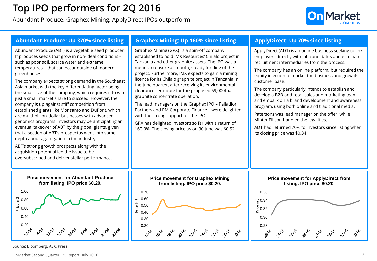## **Top IPO performers for 2Q 2016**

Abundant Produce, Graphex Mining, ApplyDirect IPOs outperform





Source: Bloomberg, ASX, Press

OnMarket Second Quarter IPO Report, July 2016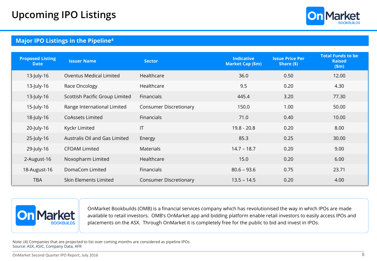

### **Major IPO Listings in the Pipeline<sup>4</sup>**

| <b>Proposed Listing</b><br><b>Date</b> | <b>Issuer Name</b>             | <b>Sector</b>                 | <b>Indicative</b><br><b>Market Cap (\$m)</b> | <b>Issue Price Per</b><br>Share (\$) | <b>Total Funds to be</b><br><b>Raised</b><br>\$m\$ |
|----------------------------------------|--------------------------------|-------------------------------|----------------------------------------------|--------------------------------------|----------------------------------------------------|
| 13-July-16                             | <b>Oventus Medical Limited</b> | Healthcare                    | 36.0                                         | 0.50                                 | 12.00                                              |
| 13-July-16                             | Race Oncology                  | Healthcare                    | 9.5                                          | 0.20                                 | 4.30                                               |
| 13-July-16                             | Scottish Pacific Group Limited | Financials                    | 445.4                                        | 3.20                                 | 77.30                                              |
| 15-July-16                             | Range International Limited    | <b>Consumer Discretionary</b> | 150.0                                        | 1.00                                 | 50.00                                              |
| 18-July-16                             | <b>CoAssets Limited</b>        | Financials                    | 71.0                                         | 0.40                                 | 10.00                                              |
| 20-July-16                             | Kyckr Limited                  | T                             | $19.8 - 20.8$                                | 0.20                                 | 8.00                                               |
| 25-July-16                             | Australis Oil and Gas Limited  | Energy                        | 85.3                                         | 0.25                                 | 30.00                                              |
| 29-July-16                             | <b>CFOAM Limited</b>           | <b>Materials</b>              | $14.7 - 18.7$                                | 0.20                                 | 9.00                                               |
| 2-August-16                            | Noxopharm Limited              | Healthcare                    | 15.0                                         | 0.20                                 | 6.00                                               |
| 18-August-16                           | DomaCom Limited                | Financials                    | $80.6 - 93.6$                                | 0.75                                 | 23.71                                              |
| <b>TBA</b>                             | Skin Elements Limited          | <b>Consumer Discretionary</b> | $13.5 - 14.5$                                | 0.20                                 | 4.00                                               |



OnMarket Bookbuilds (OMB) is a financial services company which has revolutionised the way in which IPOs are made available to retail investors. OMB's OnMarket app and bidding platform enable retail investors to easily access IPOs and placements on the ASX. Through OnMarket it is completely free for the public to bid and invest in IPOs.

Note: (4) Companies that are projected to list over coming months are considered as pipeline IPOs Source: ASX, ASIC, Company Data, AFR